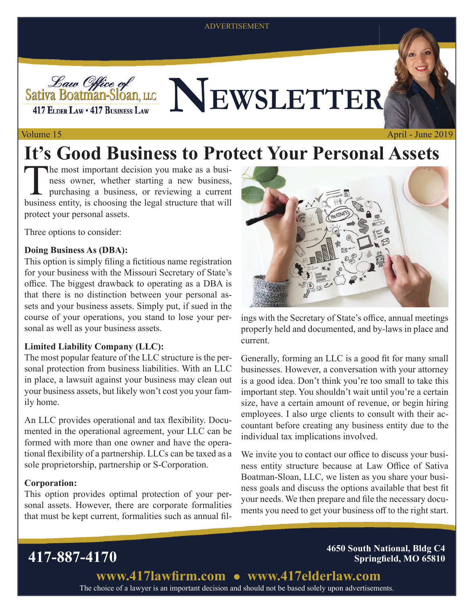### ADVERTISEMENT



# Sativa Boatman-Sloan, LLCCC NEWSLETTER

## Volume 15

# **It's Good Business to Protect Your Personal Assets**

The most important decision you make as a business,<br>ness owner, whether starting a new business,<br>purchasing a business, or reviewing a current<br>husiness ortify is abosing the local structure that will ness owner, whether starting a new business, purchasing a business, or reviewing a current business entity, is choosing the legal structure that will protect your personal assets.

Three options to consider:

## **Doing Business As (DBA):**

This option is simply filing a fictitious name registration for your business with the Missouri Secretary of State's office. The biggest drawback to operating as a DBA is that there is no distinction between your personal assets and your business assets. Simply put, if sued in the course of your operations, you stand to lose your personal as well as your business assets.

## **Limited Liability Company (LLC):**

The most popular feature of the LLC structure is the personal protection from business liabilities. With an LLC in place, a lawsuit against your business may clean out your business assets, but likely won't cost you your family home.

An LLC provides operational and tax flexibility. Documented in the operational agreement, your LLC can be formed with more than one owner and have the operational flexibility of a partnership. LLCs can be taxed as a sole proprietorship, partnership or S-Corporation.

## **Corporation:**

This option provides optimal protection of your personal assets. However, there are corporate formalities that must be kept current, formalities such as annual fil-

April - June 2019

ings with the Secretary of State's office, annual meetings properly held and documented, and by-laws in place and current.

Generally, forming an LLC is a good fit for many small businesses. However, a conversation with your attorney is a good idea. Don't think you're too small to take this important step. You shouldn't wait until you're a certain size, have a certain amount of revenue, or begin hiring employees. I also urge clients to consult with their accountant before creating any business entity due to the individual tax implications involved.

We invite you to contact our office to discuss your business entity structure because at Law Office of Sativa Boatman-Sloan, LLC, we listen as you share your business goals and discuss the options available that best fit your needs. We then prepare and file the necessary documents you need to get your business off to the right start.

**417-887-4170 4650 South National, Bldg C4 Springfield, MO 65810** 

> The choice of a lawyer is an important decision and should not be based solely upon advertisements. www.417lawfirm.com • www.417elderlaw.com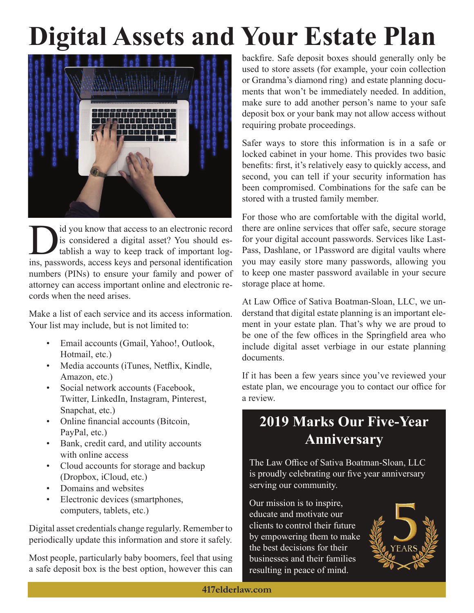# **Digital Assets and Your Estate Plan**



Id you know that access to an electronic record<br>is considered a digital asset? You should es-<br>tablish a way to keep track of important log-<br>ins negaugrads access keys and personal identification is considered a digital asset? You should establish a way to keep track of important logins, passwords, access keys and personal identification numbers (PINs) to ensure your family and power of attorney can access important online and electronic records when the need arises.

Make a list of each service and its access information. Your list may include, but is not limited to:

- Email accounts (Gmail, Yahoo!, Outlook, Hotmail, etc.)
- Media accounts (iTunes, Netflix, Kindle, Amazon, etc.)
- Social network accounts (Facebook, Twitter, LinkedIn, Instagram, Pinterest, Snapchat, etc.)
- Online financial accounts (Bitcoin, PayPal, etc.)
- Bank, credit card, and utility accounts with online access
- Cloud accounts for storage and backup (Dropbox, iCloud, etc.)
- Domains and websites
- Electronic devices (smartphones, computers, tablets, etc.)

Digital asset credentials change regularly. Remember to periodically update this information and store it safely.

Most people, particularly baby boomers, feel that using a safe deposit box is the best option, however this can backfire. Safe deposit boxes should generally only be used to store assets (for example, your coin collection or Grandma's diamond ring) and estate planning documents that won't be immediately needed. In addition, make sure to add another person's name to your safe deposit box or your bank may not allow access without requiring probate proceedings.

Safer ways to store this information is in a safe or locked cabinet in your home. This provides two basic benefits: first, it's relatively easy to quickly access, and second, you can tell if your security information has been compromised. Combinations for the safe can be stored with a trusted family member.

For those who are comfortable with the digital world, there are online services that offer safe, secure storage for your digital account passwords. Services like Last-Pass, Dashlane, or 1Password are digital vaults where you may easily store many passwords, allowing you to keep one master password available in your secure storage place at home.

At Law Office of Sativa Boatman-Sloan, LLC, we understand that digital estate planning is an important element in your estate plan. That's why we are proud to be one of the few offices in the Springfield area who include digital asset verbiage in our estate planning documents.

If it has been a few years since you've reviewed your estate plan, we encourage you to contact our office for a review.

## **2019 Marks Our Five-Year Anniversary**

The Law Office of Sativa Boatman-Sloan, LLC is proudly celebrating our five year anniversary serving our community.

Our mission is to inspire, educate and motivate our clients to control their future by empowering them to make the best decisions for their businesses and their families resulting in peace of mind.

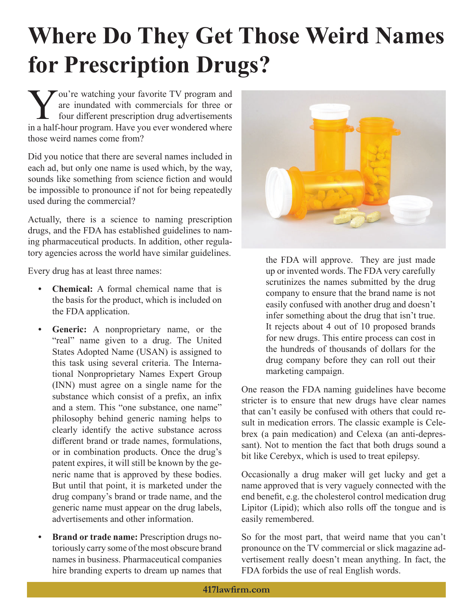# **Where Do They Get Those Weird Names for Prescription Drugs?**

You're watching your favorite TV program and<br>are inundated with commercials for three or<br>four different prescription drug advertisements<br>in a half hour program. Houe you over wondered where are inundated with commercials for three or four different prescription drug advertisements in a half-hour program. Have you ever wondered where those weird names come from?

Did you notice that there are several names included in each ad, but only one name is used which, by the way, sounds like something from science fiction and would be impossible to pronounce if not for being repeatedly used during the commercial?

Actually, there is a science to naming prescription drugs, and the FDA has established guidelines to naming pharmaceutical products. In addition, other regulatory agencies across the world have similar guidelines.

Every drug has at least three names:

- **Chemical:** A formal chemical name that is the basis for the product, which is included on the FDA application.
- **Generic:** A nonproprietary name, or the "real" name given to a drug. The United States Adopted Name (USAN) is assigned to this task using several criteria. The International Nonproprietary Names Expert Group (INN) must agree on a single name for the substance which consist of a prefix, an infix and a stem. This "one substance, one name" philosophy behind generic naming helps to clearly identify the active substance across different brand or trade names, formulations, or in combination products. Once the drug's patent expires, it will still be known by the generic name that is approved by these bodies. But until that point, it is marketed under the drug company's brand or trade name, and the generic name must appear on the drug labels, advertisements and other information.
- **Brand or trade name:** Prescription drugs notoriously carry some of the most obscure brand names in business. Pharmaceutical companies hire branding experts to dream up names that



the FDA will approve. They are just made up or invented words. The FDA very carefully scrutinizes the names submitted by the drug company to ensure that the brand name is not easily confused with another drug and doesn't infer something about the drug that isn't true. It rejects about 4 out of 10 proposed brands for new drugs. This entire process can cost in the hundreds of thousands of dollars for the drug company before they can roll out their marketing campaign.

One reason the FDA naming guidelines have become stricter is to ensure that new drugs have clear names that can't easily be confused with others that could result in medication errors. The classic example is Celebrex (a pain medication) and Celexa (an anti-depressant). Not to mention the fact that both drugs sound a bit like Cerebyx, which is used to treat epilepsy.

Occasionally a drug maker will get lucky and get a name approved that is very vaguely connected with the end benefit, e.g. the cholesterol control medication drug Lipitor (Lipid); which also rolls off the tongue and is easily remembered.

So for the most part, that weird name that you can't pronounce on the TV commercial or slick magazine advertisement really doesn't mean anything. In fact, the FDA forbids the use of real English words.